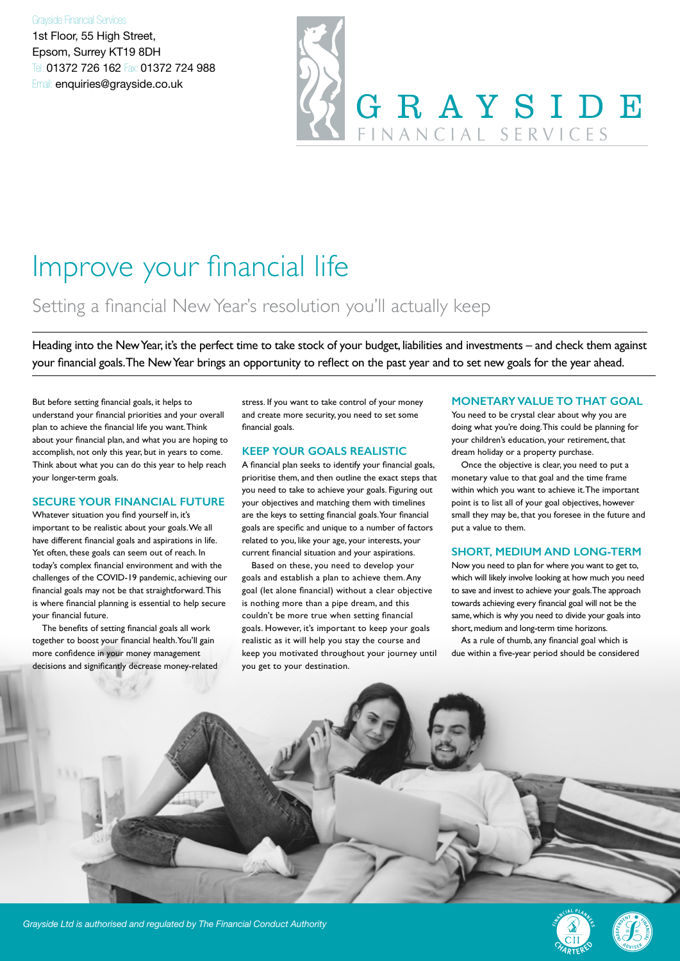#### Grayside Financial Services

1st Floor, 55 High Street, Epsom, Surrey KT19 8DH Tel: 01372 726 162 Fax: 01372 724 988 Email: enquiries@grayside.co.uk

# GRAYSIDE FINANCIAL SERVICES

### Improve your financial life

#### Setting a financial New Year's resolution you'll actually keep

Heading into the New Year, it's the perfect time to take stock of your budget, liabilities and investments – and check them against your financial goals. The New Year brings an opportunity to reflect on the past year and to set new goals for the year ahead.

But before setting financial goals, it helps to understand your financial priorities and your overall plan to achieve the financial life you want. Think about your financial plan, and what you are hoping to accomplish, not only this year, but in years to come. Think about what you can do this year to help reach your longer-term goals.

#### **SECURE YOUR FINANCIAL FUTURE**

Whatever situation you find yourself in, it's important to be realistic about your goals. We all have different financial goals and aspirations in life. Yet often, these goals can seem out of reach. In today's complex financial environment and with the challenges of the COVID-19 pandemic, achieving our financial goals may not be that straightforward. This is where financial planning is essential to help secure your financial future.

The benefits of setting financial goals all work together to boost your financial health. You'll gain more confidence in your money management decisions and significantly decrease money-related stress. If you want to take control of your money and create more security, you need to set some financial goals.

#### **KEEP YOUR GOALS REALISTIC**

A financial plan seeks to identify your financial goals, prioritise them, and then outline the exact steps that you need to take to achieve your goals. Figuring out your objectives and matching them with timelines are the keys to setting financial goals. Your financial goals are specific and unique to a number of factors related to you, like your age, your interests, your current financial situation and your aspirations.

Based on these, you need to develop your goals and establish a plan to achieve them. Any goal (let alone financial) without a clear objective is nothing more than a pipe dream, and this couldn't be more true when setting financial goals. However, it's important to keep your goals realistic as it will help you stay the course and keep you motivated throughout your journey until you get to your destination.

#### **MONETARY VALUE TO THAT GOAL**

You need to be crystal clear about why you are doing what you're doing. This could be planning for your children's education, your retirement, that dream holiday or a property purchase.

Once the objective is clear, you need to put a monetary value to that goal and the time frame within which you want to achieve it. The important point is to list all of your goal objectives, however small they may be, that you foresee in the future and put a value to them.

#### **SHORT, MEDIUM AND LONG-TERM**

Now you need to plan for where you want to get to, which will likely involve looking at how much you need to save and invest to achieve your goals. The approach towards achieving every financial goal will not be the same, which is why you need to divide your goals into short, medium and long-term time horizons.

As a rule of thumb, any financial goal which is due within a five-year period should be considered